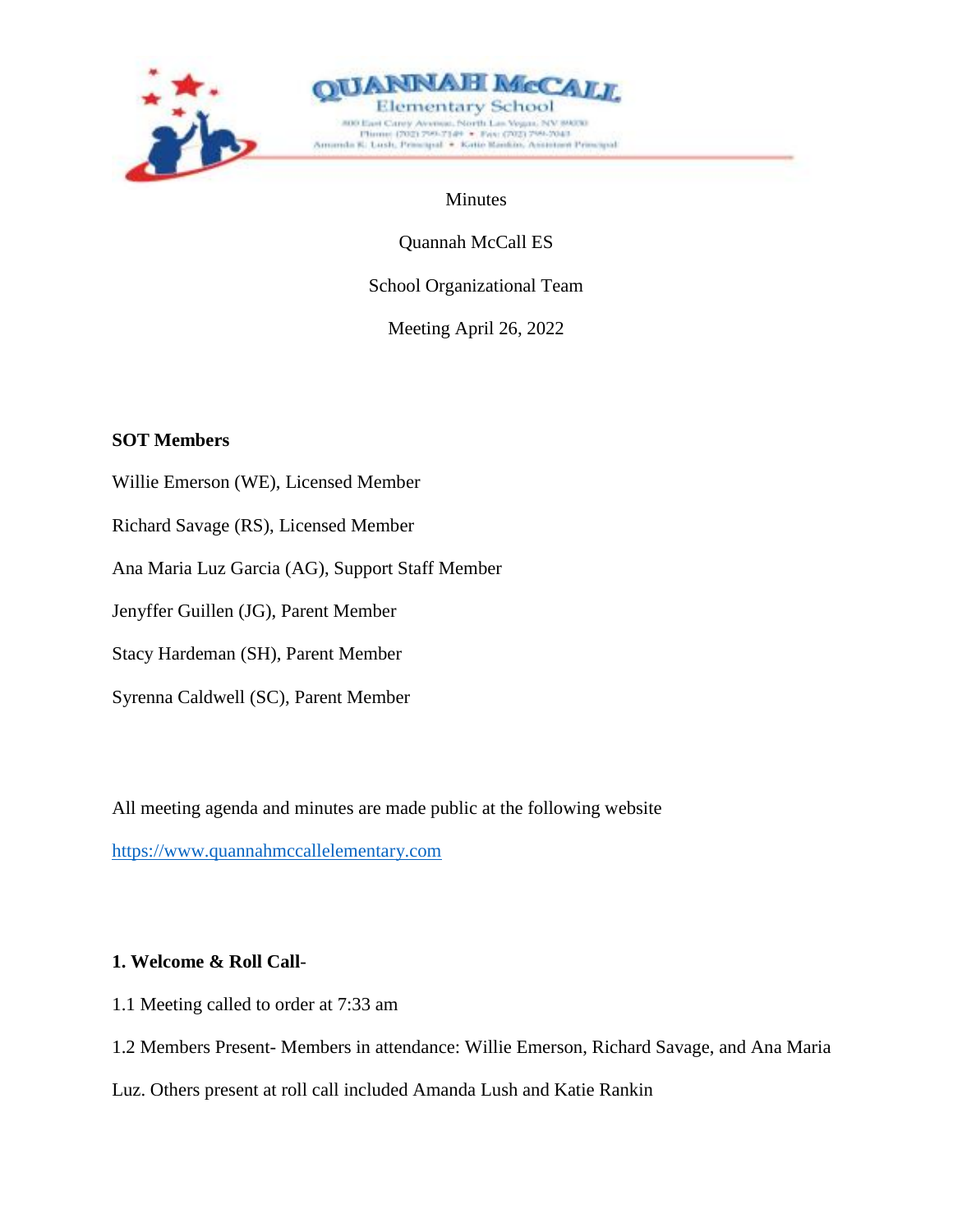



### Minutes

Quannah McCall ES

School Organizational Team

Meeting April 26, 2022

# **SOT Members**

- Willie Emerson (WE), Licensed Member Richard Savage (RS), Licensed Member Ana Maria Luz Garcia (AG), Support Staff Member Jenyffer Guillen (JG), Parent Member Stacy Hardeman (SH), Parent Member
- Syrenna Caldwell (SC), Parent Member

All meeting agenda and minutes are made public at the following website

[https://www.quannahmccallelementary.com](https://www.quannahmccallelementary.com/)

# **1. Welcome & Roll Call**-

1.1 Meeting called to order at 7:33 am

1.2 Members Present- Members in attendance: Willie Emerson, Richard Savage, and Ana Maria

Luz. Others present at roll call included Amanda Lush and Katie Rankin